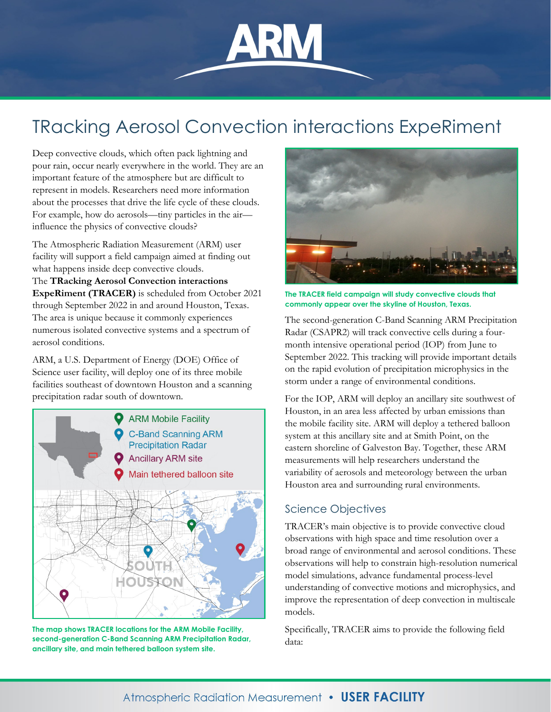# TRacking Aerosol Convection interactions ExpeRiment

Deep convective clouds, which often pack lightning and pour rain, occur nearly everywhere in the world. They are an important feature of the atmosphere but are difficult to represent in models. Researchers need more information about the processes that drive the life cycle of these clouds. For example, how do aerosols—tiny particles in the air influence the physics of convective clouds?

The Atmospheric Radiation Measurement (ARM) user facility will support a field campaign aimed at finding out what happens inside deep convective clouds.

The **TRacking Aerosol Convection interactions ExpeRiment (TRACER)** is scheduled from October 2021 through September 2022 in and around Houston, Texas. The area is unique because it commonly experiences numerous isolated convective systems and a spectrum of aerosol conditions.

ARM, a U.S. Department of Energy (DOE) Office of Science user facility, will deploy one of its three mobile facilities southeast of downtown Houston and a scanning precipitation radar south of downtown.



**The map shows TRACER locations for the ARM Mobile Facility, second-generation C-Band Scanning ARM Precipitation Radar, ancillary site, and main tethered balloon system site.**



**The TRACER field campaign will study convective clouds that commonly appear over the skyline of Houston, Texas.**

The second-generation C-Band Scanning ARM Precipitation Radar (CSAPR2) will track convective cells during a fourmonth intensive operational period (IOP) from June to September 2022. This tracking will provide important details on the rapid evolution of precipitation microphysics in the storm under a range of environmental conditions.

For the IOP, ARM will deploy an ancillary site southwest of Houston, in an area less affected by urban emissions than the mobile facility site. ARM will deploy a tethered balloon system at this ancillary site and at Smith Point, on the eastern shoreline of Galveston Bay. Together, these ARM measurements will help researchers understand the variability of aerosols and meteorology between the urban Houston area and surrounding rural environments.

# Science Objectives

TRACER's main objective is to provide convective cloud observations with high space and time resolution over a broad range of environmental and aerosol conditions. These observations will help to constrain high-resolution numerical model simulations, advance fundamental process-level understanding of convective motions and microphysics, and improve the representation of deep convection in multiscale models.

Specifically, TRACER aims to provide the following field data: